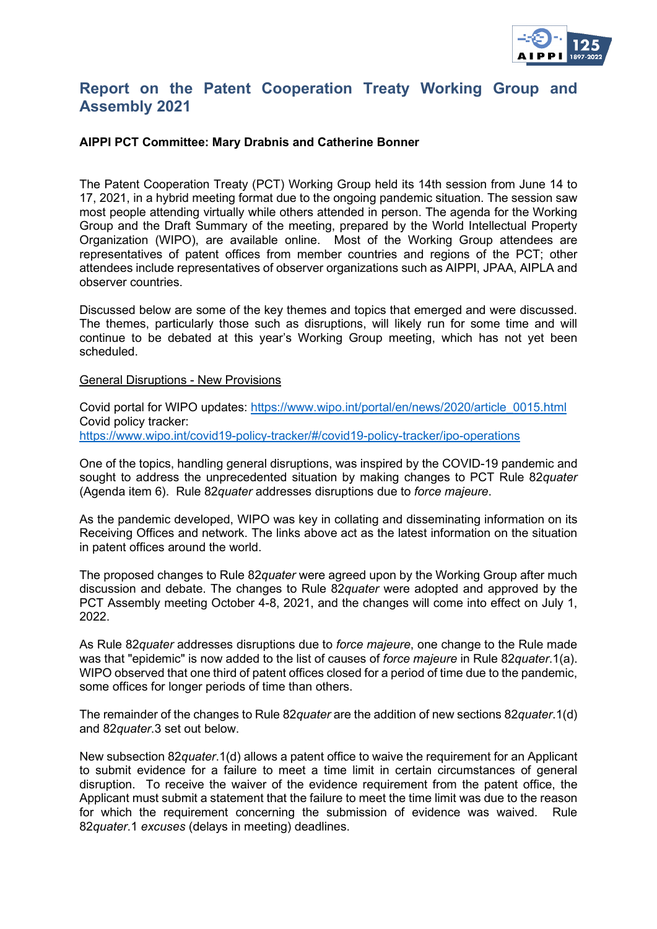

# **Report on the Patent Cooperation Treaty Working Group and Assembly 2021**

## **AIPPI PCT Committee: Mary Drabnis and Catherine Bonner**

The Patent Cooperation Treaty (PCT) Working Group held its 14th session from June 14 to 17, 2021, in a hybrid meeting format due to the ongoing pandemic situation. The session saw most people attending virtually while others attended in person. The agenda for the Working Group and the Draft Summary of the meeting, prepared by the World Intellectual Property Organization (WIPO), are available online. Most of the Working Group attendees are representatives of patent offices from member countries and regions of the PCT; other attendees include representatives of observer organizations such as AIPPI, JPAA, AIPLA and observer countries.

Discussed below are some of the key themes and topics that emerged and were discussed. The themes, particularly those such as disruptions, will likely run for some time and will continue to be debated at this year's Working Group meeting, which has not yet been scheduled.

#### General Disruptions - New Provisions

Covid portal for WIPO updates: [https://www.wipo.int/portal/en/news/2020/article\\_0015.html](https://www.wipo.int/portal/en/news/2020/article_0015.html) Covid policy tracker: <https://www.wipo.int/covid19-policy-tracker/#/covid19-policy-tracker/ipo-operations>

One of the topics, handling general disruptions, was inspired by the COVID-19 pandemic and sought to address the unprecedented situation by making changes to PCT Rule 82*quater* (Agenda item 6). Rule 82*quater* addresses disruptions due to *force majeure*.

As the pandemic developed, WIPO was key in collating and disseminating information on its Receiving Offices and network. The links above act as the latest information on the situation in patent offices around the world.

The proposed changes to Rule 82*quater* were agreed upon by the Working Group after much discussion and debate. The changes to Rule 82*quater* were adopted and approved by the PCT Assembly meeting October 4-8, 2021, and the changes will come into effect on July 1, 2022.

As Rule 82*quater* addresses disruptions due to *force majeure*, one change to the Rule made was that "epidemic" is now added to the list of causes of *force majeure* in Rule 82*quater*.1(a). WIPO observed that one third of patent offices closed for a period of time due to the pandemic, some offices for longer periods of time than others.

The remainder of the changes to Rule 82*quater* are the addition of new sections 82*quater*.1(d) and 82*quater*.3 set out below.

New subsection 82*quater*.1(d) allows a patent office to waive the requirement for an Applicant to submit evidence for a failure to meet a time limit in certain circumstances of general disruption. To receive the waiver of the evidence requirement from the patent office, the Applicant must submit a statement that the failure to meet the time limit was due to the reason for which the requirement concerning the submission of evidence was waived. Rule 82*quater*.1 *excuses* (delays in meeting) deadlines.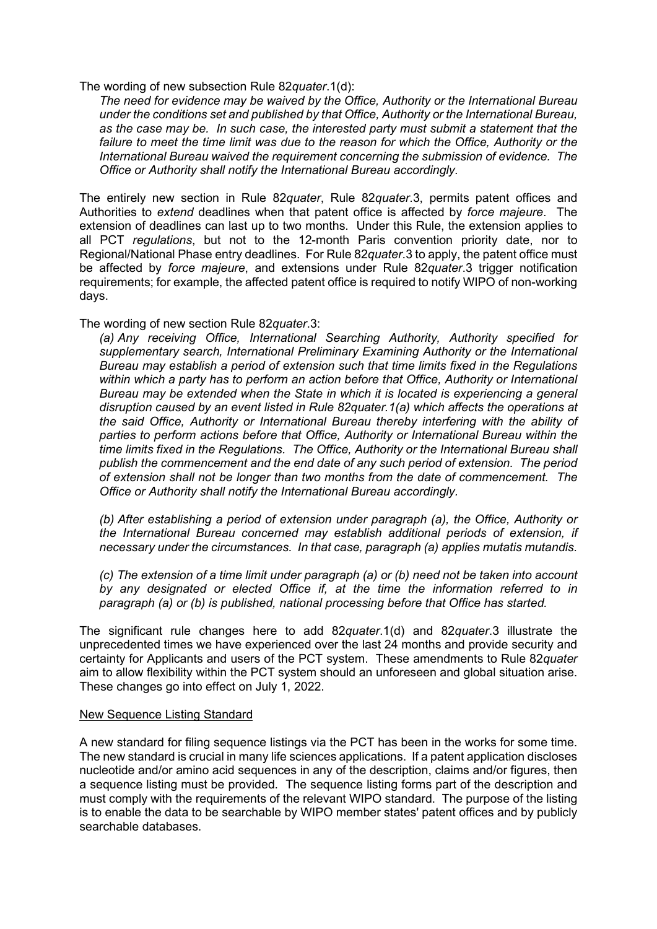The wording of new subsection Rule 82*quater*.1(d):

*The need for evidence may be waived by the Office, Authority or the International Bureau under the conditions set and published by that Office, Authority or the International Bureau, as the case may be. In such case, the interested party must submit a statement that the*  failure to meet the time limit was due to the reason for which the Office, Authority or the *International Bureau waived the requirement concerning the submission of evidence. The Office or Authority shall notify the International Bureau accordingly.*

The entirely new section in Rule 82*quater*, Rule 82*quater*.3, permits patent offices and Authorities to *extend* deadlines when that patent office is affected by *force majeure*. The extension of deadlines can last up to two months. Under this Rule, the extension applies to all PCT *regulations*, but not to the 12-month Paris convention priority date, nor to Regional/National Phase entry deadlines. For Rule 82*quater*.3 to apply, the patent office must be affected by *force majeure*, and extensions under Rule 82*quater*.3 trigger notification requirements; for example, the affected patent office is required to notify WIPO of non-working days.

The wording of new section Rule 82*quater*.3:

*(a) Any receiving Office, International Searching Authority, Authority specified for supplementary search, International Preliminary Examining Authority or the International Bureau may establish a period of extension such that time limits fixed in the Regulations within which a party has to perform an action before that Office, Authority or International Bureau may be extended when the State in which it is located is experiencing a general disruption caused by an event listed in Rule 82quater.1(a) which affects the operations at the said Office, Authority or International Bureau thereby interfering with the ability of parties to perform actions before that Office, Authority or International Bureau within the time limits fixed in the Regulations. The Office, Authority or the International Bureau shall publish the commencement and the end date of any such period of extension. The period of extension shall not be longer than two months from the date of commencement. The Office or Authority shall notify the International Bureau accordingly.*

*(b) After establishing a period of extension under paragraph (a), the Office, Authority or the International Bureau concerned may establish additional periods of extension, if necessary under the circumstances. In that case, paragraph (a) applies mutatis mutandis.*

*(c) The extension of a time limit under paragraph (a) or (b) need not be taken into account by any designated or elected Office if, at the time the information referred to in paragraph (a) or (b) is published, national processing before that Office has started.*

The significant rule changes here to add 82*quater*.1(d) and 82*quater*.3 illustrate the unprecedented times we have experienced over the last 24 months and provide security and certainty for Applicants and users of the PCT system. These amendments to Rule 82*quater* aim to allow flexibility within the PCT system should an unforeseen and global situation arise. These changes go into effect on July 1, 2022.

### New Sequence Listing Standard

A new standard for filing sequence listings via the PCT has been in the works for some time. The new standard is crucial in many life sciences applications. If a patent application discloses nucleotide and/or amino acid sequences in any of the description, claims and/or figures, then a sequence listing must be provided. The sequence listing forms part of the description and must comply with the requirements of the relevant WIPO standard. The purpose of the listing is to enable the data to be searchable by WIPO member states' patent offices and by publicly searchable databases.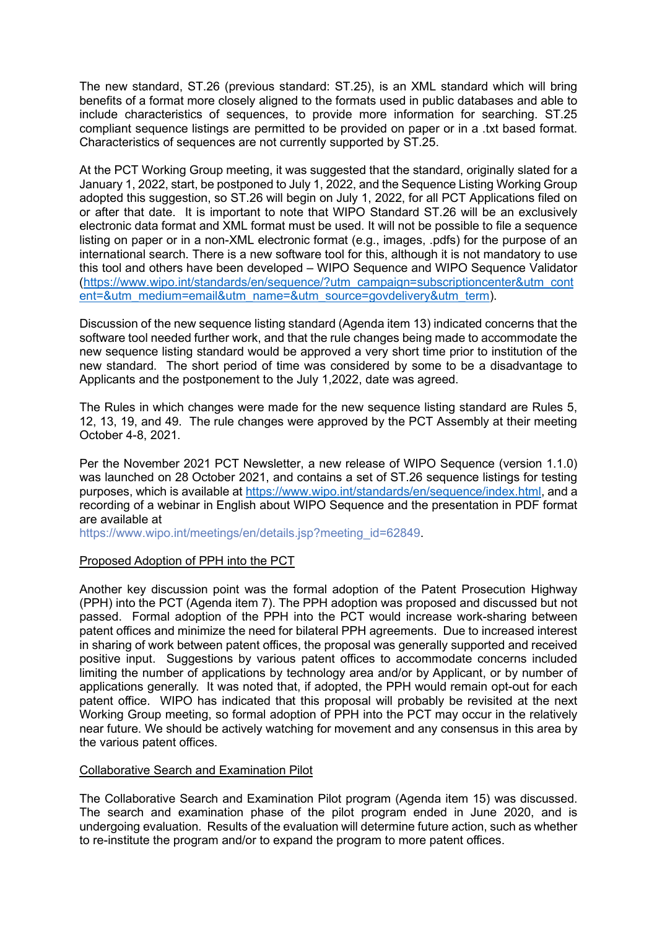The new standard, ST.26 (previous standard: ST.25), is an XML standard which will bring benefits of a format more closely aligned to the formats used in public databases and able to include characteristics of sequences, to provide more information for searching. ST.25 compliant sequence listings are permitted to be provided on paper or in a .txt based format. Characteristics of sequences are not currently supported by ST.25.

At the PCT Working Group meeting, it was suggested that the standard, originally slated for a January 1, 2022, start, be postponed to July 1, 2022, and the Sequence Listing Working Group adopted this suggestion, so ST.26 will begin on July 1, 2022, for all PCT Applications filed on or after that date. It is important to note that WIPO Standard ST.26 will be an exclusively electronic data format and XML format must be used. It will not be possible to file a sequence listing on paper or in a non-XML electronic format (e.g., images, .pdfs) for the purpose of an international search. There is a new software tool for this, although it is not mandatory to use this tool and others have been developed – WIPO Sequence and WIPO Sequence Validator [\(https://www.wipo.int/standards/en/sequence/?utm\\_campaign=subscriptioncenter&utm\\_cont](https://www.wipo.int/standards/en/sequence/?utm_campaign=subscriptioncenter&utm_content=&utm_medium=email&utm_name=&utm_source=govdelivery&utm_term) [ent=&utm\\_medium=email&utm\\_name=&utm\\_source=govdelivery&utm\\_term\)](https://www.wipo.int/standards/en/sequence/?utm_campaign=subscriptioncenter&utm_content=&utm_medium=email&utm_name=&utm_source=govdelivery&utm_term).

Discussion of the new sequence listing standard (Agenda item 13) indicated concerns that the software tool needed further work, and that the rule changes being made to accommodate the new sequence listing standard would be approved a very short time prior to institution of the new standard. The short period of time was considered by some to be a disadvantage to Applicants and the postponement to the July 1,2022, date was agreed.

The Rules in which changes were made for the new sequence listing standard are Rules 5, 12, 13, 19, and 49. The rule changes were approved by the PCT Assembly at their meeting October 4-8, 2021.

Per the November 2021 PCT Newsletter, a new release of WIPO Sequence (version 1.1.0) was launched on 28 October 2021, and contains a set of ST.26 sequence listings for testing purposes, which is available at [https://www.wipo.int/standards/en/sequence/index.html,](https://www.wipo.int/standards/en/sequence/index.html) and a recording of a webinar in English about WIPO Sequence and the presentation in PDF format are available at

[https://www.wipo.int/meetings/en/details.jsp?meeting\\_id=62849.](https://www.wipo.int/meetings/en/details.jsp?meeting_id=62849)

### Proposed Adoption of PPH into the PCT

Another key discussion point was the formal adoption of the Patent Prosecution Highway (PPH) into the PCT (Agenda item 7). The PPH adoption was proposed and discussed but not passed. Formal adoption of the PPH into the PCT would increase work-sharing between patent offices and minimize the need for bilateral PPH agreements. Due to increased interest in sharing of work between patent offices, the proposal was generally supported and received positive input. Suggestions by various patent offices to accommodate concerns included limiting the number of applications by technology area and/or by Applicant, or by number of applications generally. It was noted that, if adopted, the PPH would remain opt-out for each patent office. WIPO has indicated that this proposal will probably be revisited at the next Working Group meeting, so formal adoption of PPH into the PCT may occur in the relatively near future. We should be actively watching for movement and any consensus in this area by the various patent offices.

### Collaborative Search and Examination Pilot

The Collaborative Search and Examination Pilot program (Agenda item 15) was discussed. The search and examination phase of the pilot program ended in June 2020, and is undergoing evaluation. Results of the evaluation will determine future action, such as whether to re-institute the program and/or to expand the program to more patent offices.